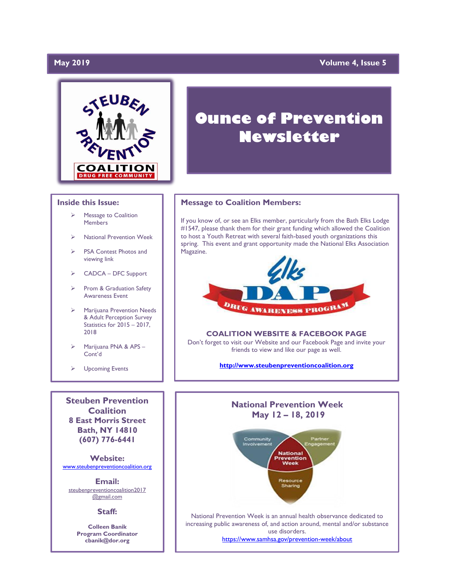# **May 2019**

# **Volume 4, Issue 5**



### **Inside this Issue:**

- Message to Coalition **Members**
- ➢ National Prevention Week
- ➢ PSA Contest Photos and viewing link
- ➢ CADCA DFC Support
- ➢ Prom & Graduation Safety Awareness Event
- ➢ Marijuana Prevention Needs & Adult Perception Survey Statistics for 2015 – 2017, 2018
- ➢ Marijuana PNA & APS Cont'd
- ➢ Upcoming Events

**Steuben Prevention Coalition 8 East Morris Street Bath, NY 14810 (607) 776-6441**

**Website:**  [www.steubenpreventioncoalition.org](http://www.steubenpreventioncoalition.org/)

**Email:**  steubenpreventioncoalition2017 @gmail.com

### **Staff:**

**Colleen Banik Program Coordinator cbanik@dor.org**

# **Ounce of Prevention Newsletter**

### **Message to Coalition Members:**

If you know of, or see an Elks member, particularly from the Bath Elks Lodge #1547, please thank them for their grant funding which allowed the Coalition to host a Youth Retreat with several faith-based youth organizations this spring. This event and grant opportunity made the National Elks Association Magazine.



### **COALITION WEBSITE & FACEBOOK PAGE**

Don't forget to visit our Website and our Facebook Page and invite your friends to view and like our page as well.

**[http://www.steubenpreventioncoalition.org](http://www.steubenpreventioncoalition.org/)**



<https://www.samhsa.gov/prevention-week/about>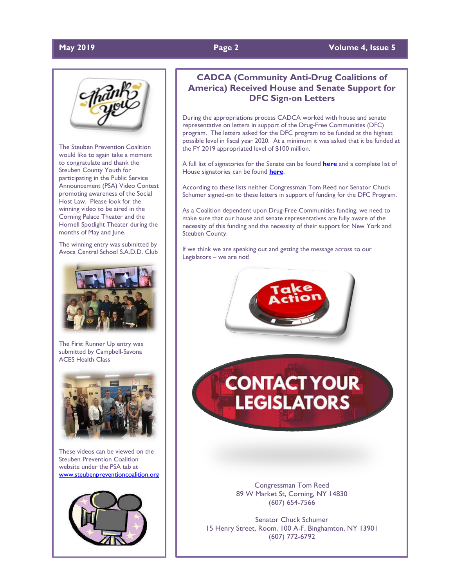# **May 2019 Page 2 Volume 4, Issue 5**



The Steuben Prevention Coalition would like to again take a moment to congratulate and thank the Steuben County Youth for participating in the Public Service Announcement (PSA) Video Contest promoting awareness of the Social Host Law. Please look for the winning video to be aired in the Corning Palace Theater and the Hornell Spotlight Theater during the months of May and June.

The winning entry was submitted by Avoca Central School S.A.D.D. Club



The First Runner Up entry was submitted by Campbell-Savona ACES Health Class



These videos can be viewed on the Steuben Prevention Coalition website under the PSA tab at [www.steubenpreventioncoalition.org](http://www.steubenpreventioncoalition.org/)



# **CADCA (Community Anti-Drug Coalitions of America) Received House and Senate Support for DFC Sign-on Letters**

During the appropriations process CADCA worked with house and senate representative on letters in support of the Drug-Free Communities (DFC) program. The letters asked for the DFC program to be funded at the highest possible level in fiscal year 2020. At a minimum it was asked that it be funded at the FY 2019 appropriated level of \$100 million.

A full list of signatories for the Senate can be found **[here](http://www.mmsend36.com/link.cfm?r=PXFTCIKIY6A9M76tnE-tWQ~~&pe=0cKRySy2z8spa2RYHOHcKRy7tF7_4HMPn033D7zwjGlRAWAZzNDjoO7Qt4DoqYl0_2FMEZ6sUg9JXJaTn553fw~~&t=nCMt3XGDNjggpH2NuYFSKw~~)** and a complete list of House signatories can be found **[here](http://www.mmsend36.com/link.cfm?r=PXFTCIKIY6A9M76tnE-tWQ~~&pe=CmdiYdbCk8dl1xeo_1cj9qfLIPBFpUc4468pB4RbjkBmElyJKpQjvSswsw73iQ7fyVnWK7heG8RjLhuiwf-OTQ~~&t=nCMt3XGDNjggpH2NuYFSKw~~)**.

According to these lists neither Congressman Tom Reed nor Senator Chuck Schumer signed-on to these letters in support of funding for the DFC Program.

As a Coalition dependent upon Drug-Free Communities funding, we need to make sure that our house and senate representatives are fully aware of the necessity of this funding and the necessity of their support for New York and Steuben County.

If we think we are speaking out and getting the message across to our Legislators – we are not!



**CONTACT YOUR LEGISLATORS** 

> Congressman Tom Reed 89 W Market St, Corning, NY 14830 (607) 654-7566

Senator Chuck Schumer 15 Henry Street, Room. 100 A-F, Binghamton, NY 13901 (607) 772-6792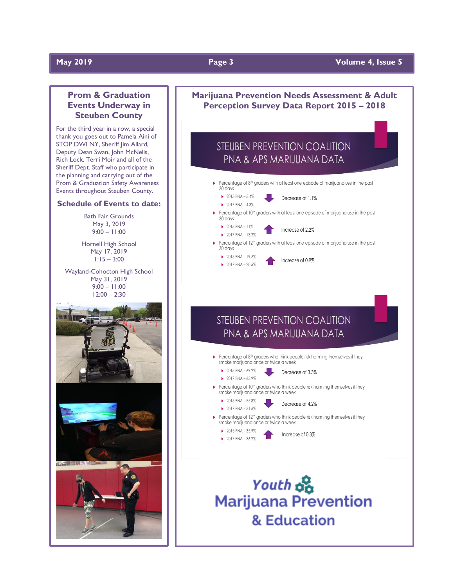# **May 2019 Page 3 Volume 4, Issue 5**

# **Prom & Graduation Events Underway in Steuben County**

For the third year in a row, a special thank you goes out to Pamela Aini of STOP DWI NY, Sheriff Jim Allard, Deputy Dean Swan, John McNelis, Rich Lock, Terri Moir and all of the Sheriff Dept. Staff who participate in the planning and carrying out of the Prom & Graduation Safety Awareness Events throughout Steuben County.

### **Schedule of Events to date:**

Bath Fair Grounds May 3, 2019  $9:00 - 11:00$ 

Hornell High School May 17, 2019 1:15 – 3:00

Wayland-Cohocton High School May 31, 2019 9:00 – 11:00 12:00 – 2:30











Decrease of 4.2%

Percentage of  $12<sup>th</sup>$  graders who think people risk harming themselves if they smoke marijuana once or twice a week



Increase of 0.3%

Youth on **Marijuana Prevention** & Education